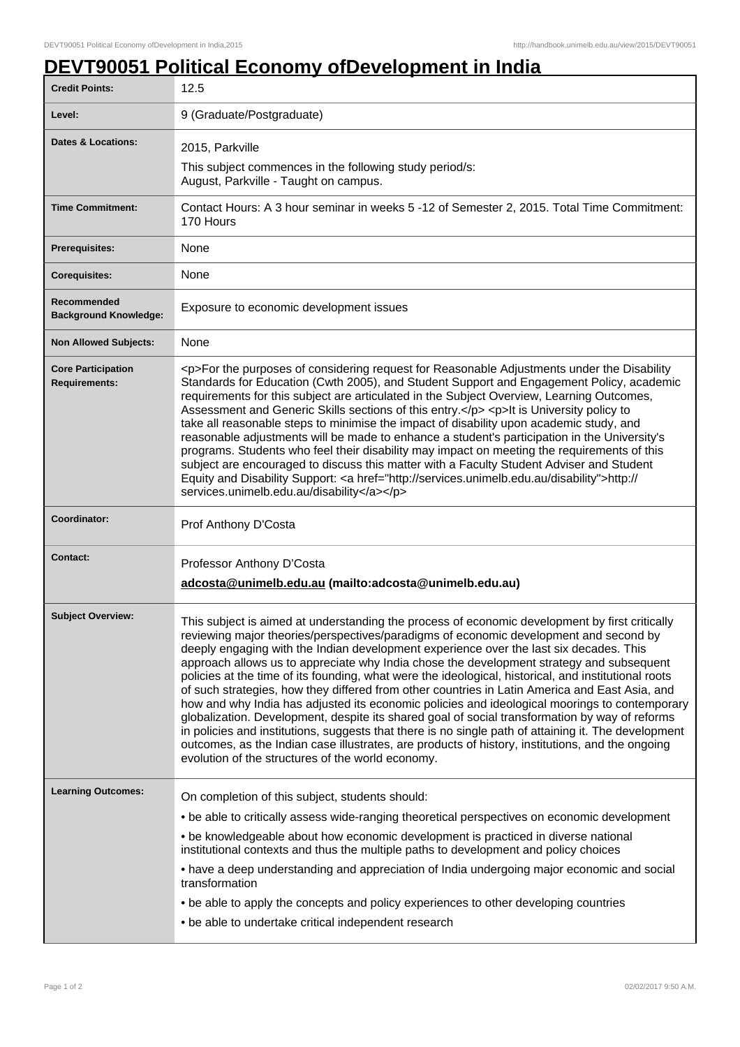## **DEVT90051 Political Economy ofDevelopment in India**

| 9 (Graduate/Postgraduate)                                                                                                                                                                                                                                                                                                                                                                                                                                                                                                                                                                                                                                                                                                                                                                                                                                                                                                                                                                                                                                   |
|-------------------------------------------------------------------------------------------------------------------------------------------------------------------------------------------------------------------------------------------------------------------------------------------------------------------------------------------------------------------------------------------------------------------------------------------------------------------------------------------------------------------------------------------------------------------------------------------------------------------------------------------------------------------------------------------------------------------------------------------------------------------------------------------------------------------------------------------------------------------------------------------------------------------------------------------------------------------------------------------------------------------------------------------------------------|
|                                                                                                                                                                                                                                                                                                                                                                                                                                                                                                                                                                                                                                                                                                                                                                                                                                                                                                                                                                                                                                                             |
| 2015, Parkville                                                                                                                                                                                                                                                                                                                                                                                                                                                                                                                                                                                                                                                                                                                                                                                                                                                                                                                                                                                                                                             |
| This subject commences in the following study period/s:<br>August, Parkville - Taught on campus.                                                                                                                                                                                                                                                                                                                                                                                                                                                                                                                                                                                                                                                                                                                                                                                                                                                                                                                                                            |
| Contact Hours: A 3 hour seminar in weeks 5 -12 of Semester 2, 2015. Total Time Commitment:                                                                                                                                                                                                                                                                                                                                                                                                                                                                                                                                                                                                                                                                                                                                                                                                                                                                                                                                                                  |
|                                                                                                                                                                                                                                                                                                                                                                                                                                                                                                                                                                                                                                                                                                                                                                                                                                                                                                                                                                                                                                                             |
|                                                                                                                                                                                                                                                                                                                                                                                                                                                                                                                                                                                                                                                                                                                                                                                                                                                                                                                                                                                                                                                             |
| Exposure to economic development issues                                                                                                                                                                                                                                                                                                                                                                                                                                                                                                                                                                                                                                                                                                                                                                                                                                                                                                                                                                                                                     |
|                                                                                                                                                                                                                                                                                                                                                                                                                                                                                                                                                                                                                                                                                                                                                                                                                                                                                                                                                                                                                                                             |
| <p>For the purposes of considering request for Reasonable Adjustments under the Disability<br/>Standards for Education (Cwth 2005), and Student Support and Engagement Policy, academic<br/>requirements for this subject are articulated in the Subject Overview, Learning Outcomes,<br/>Assessment and Generic Skills sections of this entry.</p> <p>lt is University policy to<br/>take all reasonable steps to minimise the impact of disability upon academic study, and<br/>reasonable adjustments will be made to enhance a student's participation in the University's<br/>programs. Students who feel their disability may impact on meeting the requirements of this<br/>subject are encouraged to discuss this matter with a Faculty Student Adviser and Student<br/>Equity and Disability Support: &lt; a href="http://services.unimelb.edu.au/disability"&gt;http://<br/>services.unimelb.edu.au/disability</p>                                                                                                                                |
| Prof Anthony D'Costa                                                                                                                                                                                                                                                                                                                                                                                                                                                                                                                                                                                                                                                                                                                                                                                                                                                                                                                                                                                                                                        |
|                                                                                                                                                                                                                                                                                                                                                                                                                                                                                                                                                                                                                                                                                                                                                                                                                                                                                                                                                                                                                                                             |
| Professor Anthony D'Costa<br>adcosta@unimelb.edu.au (mailto:adcosta@unimelb.edu.au)                                                                                                                                                                                                                                                                                                                                                                                                                                                                                                                                                                                                                                                                                                                                                                                                                                                                                                                                                                         |
| This subject is aimed at understanding the process of economic development by first critically<br>reviewing major theories/perspectives/paradigms of economic development and second by<br>deeply engaging with the Indian development experience over the last six decades. This<br>approach allows us to appreciate why India chose the development strategy and subsequent<br>policies at the time of its founding, what were the ideological, historical, and institutional roots<br>of such strategies, how they differed from other countries in Latin America and East Asia, and<br>how and why India has adjusted its economic policies and ideological moorings to contemporary<br>globalization. Development, despite its shared goal of social transformation by way of reforms<br>in policies and institutions, suggests that there is no single path of attaining it. The development<br>outcomes, as the Indian case illustrates, are products of history, institutions, and the ongoing<br>evolution of the structures of the world economy. |
|                                                                                                                                                                                                                                                                                                                                                                                                                                                                                                                                                                                                                                                                                                                                                                                                                                                                                                                                                                                                                                                             |